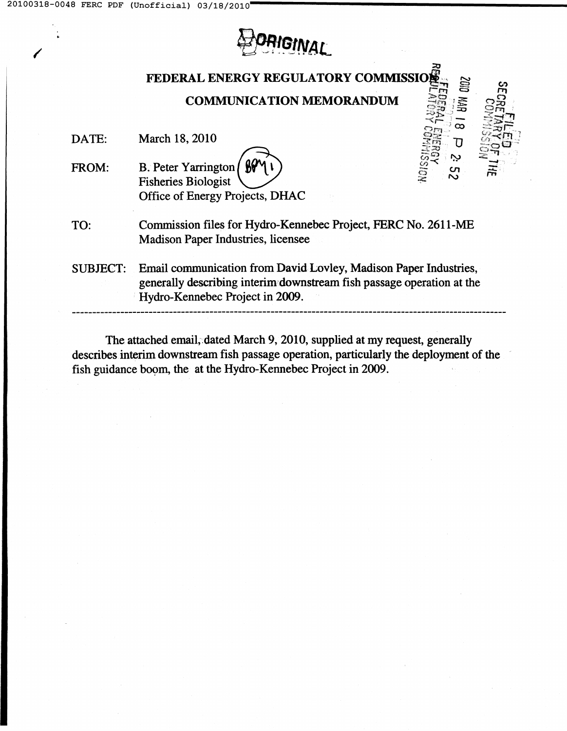

20

 $\overline{U}$ 

J)

## FEDERAL ENERGY REGULATORY COMMISSI COMMUNICATION MEMORANDUM

DATE: March 18, 2010

- B. Peter Yarrington Fisheries Biologist \:)/ Office of Energy Projects, DHAC FROM:
- TO: Commission files for Hydro-Kennebec Project, FERC No. 2611-ME Madison Paper Industries, licensee
- SUBJECT: Email communication from David,Lovley, Madison Paper Industries, generally describing interim downstream fish passage operation at the Hydro-Kennebec Project in 2009.

The attached email; dated March 9, 2010, supplied at my request, generally describes interim downstream fish passage operation, particularly the deployment of the fish guidance boom, the at the Hydro-Kennebec Project in 2009.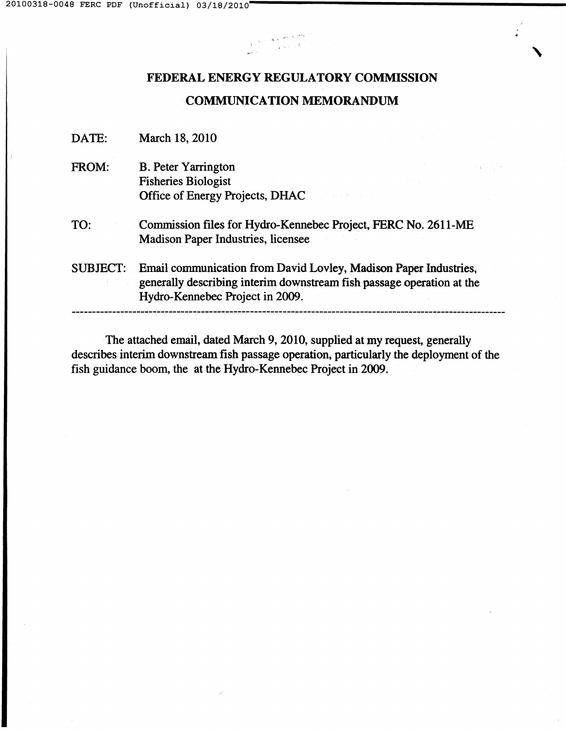# FEDERAL ENERGY REGULATORY COMMISSION COMMUNICATION MEMORANDUM

 $\frac{1}{2}$  ,  $\frac{1}{2}$  ,  $\frac{1}{2}$  ,  $\frac{1}{2}$ 

,

DATE: March 18, 2010

- FROM: B. Peter Yarrington Fisheries Biologist Office of Energy Projects, DHAC
- TO: Commission files for Hydro-Kennebec Project, FERC No. 2611-ME Madison Paper Industries, licensee
- SUBJECT: Email communication from David Lovley, Madison Paper Industries, generally describing interim downstream fish passage operation at the Hydro-Kennebec Project in 2009.

The attached email, dated March 9, 2010, supplied at my request, generally describes interim downstream fish passage operation, particularly the deployment of the fish guidance boom, the at the Hydro-Kennebec Project in 2009.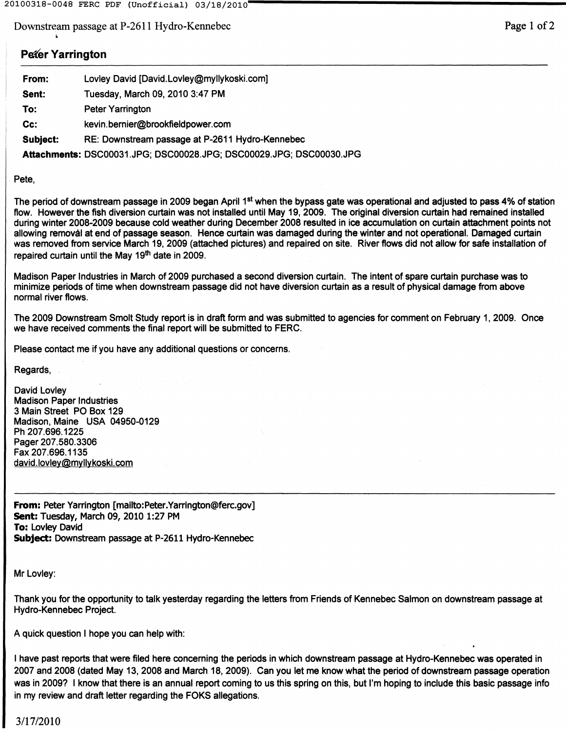```
20100318-0048 FERC PDF (Unofficial) 03/18/2010
```
Downstream passage at P-2611 Hydro-Kennebec

#### **Peter Yarrington**

~

| From:    | Lovley David [David.Lovley@myllykoski.com]                          |
|----------|---------------------------------------------------------------------|
| Sent:    | Tuesday, March 09, 2010 3:47 PM                                     |
| To:      | Peter Yarrington                                                    |
| Cc:      | kevin.bernier@brookfieldpower.com                                   |
| Subject: | RE: Downstream passage at P-2611 Hydro-Kennebec                     |
|          | Attachments: DSC00031.JPG; DSC00028.JPG; DSC00029.JPG; DSC00030.JPG |

#### Pete,

The period of downstream passage in 2009 began April 1<sup>st</sup> when the bypass gate was operational and adjusted to pass 4% of statior flow. However the fish diversion curtain was not installed until May 19, 2009. The original diversion curtain had remained installed during winter 2008-2009 because cold weather during December 2008 resulted in ice accumulation on curtain attachment points not allowing removal at end of passage season. Hence curtain was damaged during the winter and not operational. Damaged curtain was removed from service March 19,2009 (attached pictures) and repaired on site. River flows did not allow for safe installation of repaired curtain until the May  $19<sup>th</sup>$  date in 2009.

Madison Paper Industries in March of 2009 purchased a second diversion curtain. The intent of spare curtain purchase was to minimize periods of time when downstream passage did not have diversion curtain as a result of physical damage from above normal river flows.

The 2009 Downstream Smolt Study report is in draft form and was submitted to agencies for comment on February 1, 2009. Once we have received comments the final report will be submitted to FERC.

Please contact me if you have any additional questions or concerns.

Regards,

David Lovley Madison Paper Industries 3 Main Street PO Box 129 Madison, Maine USA 04950-0129 Ph 207.696.1225 Pager 207.580.3306 Fax 207.696.1135 [david.lovley@myllykoski.com](mailto:david.lovley@myllykoski.com)

From: Peter Yarrington [mailto:Peter.Yarrington@ferc.gov] Sent: Tuesday, March 09, 2010 1:27 PM To: Lovley David Subject: Downstream passage at P-2611 Hydro-Kennebec

Mr Lovley:

Thank you for the opportunity to talk yesterday regarding the letters from Friends of Kennebec Salmon on downstream passage at Hydro-Kennebec Project.

A quick question I hope you can help with:

I have past reports that were filed here concerning the periods in which downstream passage at Hydro-Kennebec was operated in 2007 and 2008 (dated May 13,2008 and March 18,2009). Can you let me know what the period of downstream passage operation was in 2009? I know that there is an annual report coming to us this spring on this, but I'm hoping to include this basic passage info in my review and draft letter regarding the FOKS allegations.